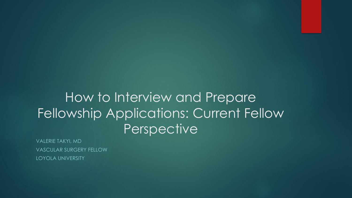### How to Interview and Prepare Fellowship Applications: Current Fellow **Perspective**

VALERIE TAKYI, MD VASCULAR SURGERY FELLOW LOYOLA UNIVERSITY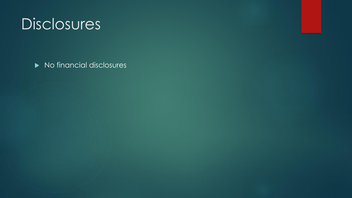## **Disclosures**

No financial disclosures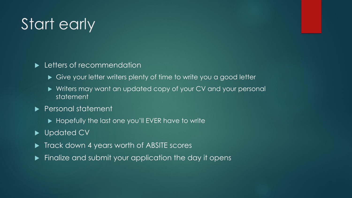# Start early

#### **Letters of recommendation**

- ▶ Give your letter writers plenty of time to write you a good letter
- ▶ Writers may want an updated copy of your CV and your personal statement
- **Personal statement** 
	- Hopefully the last one you'll EVER have to write
- ▶ Updated CV
- Track down 4 years worth of ABSITE scores
- Finalize and submit your application the day it opens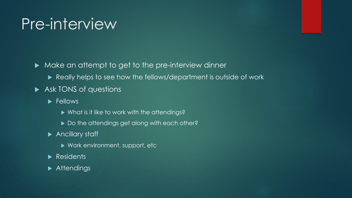## Pre-interview

 $\blacktriangleright$  Make an attempt to get to the pre-interview dinner

- Really helps to see how the fellows/department is outside of work
- Ask TONS of questions
	- Fellows
		- ▶ What is it like to work with the attendings?
		- Do the attendings get along with each other?
	- ▶ Ancillary staff
		- ▶ Work environment, support, etc
	- Residents
	- Attendings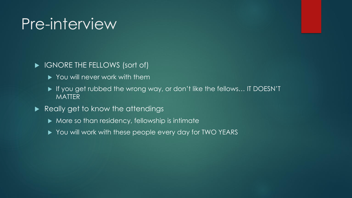### Pre-interview

#### **IGNORE THE FELLOWS (sort of)**

- ▶ You will never work with them
- If you get rubbed the wrong way, or don't like the fellows... IT DOESN'T **MATTER**
- Really get to know the attendings
	- $\blacktriangleright$  More so than residency, fellowship is intimate
	- ▶ You will work with these people every day for TWO YEARS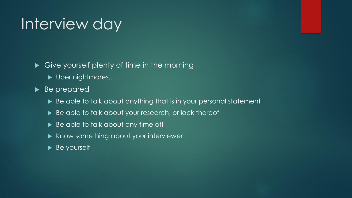## Interview day

- Give yourself plenty of time in the morning
	- ▶ Uber nightmares...
- Be prepared
	- ▶ Be able to talk about anything that is in your personal statement
	- Be able to talk about your research, or lack thereof
	- Be able to talk about any time off
	- ▶ Know something about your interviewer
	- Be yourself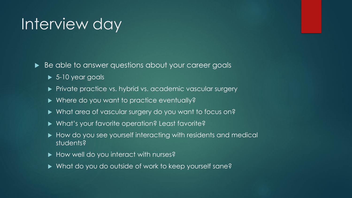### Interview day

Be able to answer questions about your career goals

- ▶ 5-10 year goals
- **Private practice vs. hybrid vs. academic vascular surgery**
- ▶ Where do you want to practice eventually?
- What area of vascular surgery do you want to focus on?
- ▶ What's your favorite operation? Least favorite?
- How do you see yourself interacting with residents and medical students?
- ▶ How well do you interact with nurses?
- ▶ What do you do outside of work to keep yourself sane?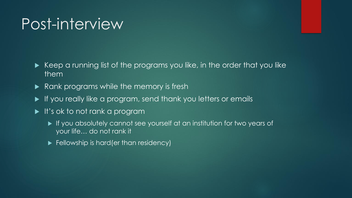### Post-interview

- Keep a running list of the programs you like, in the order that you like them
- Rank programs while the memory is fresh
- If you really like a program, send thank you letters or emails
- It's ok to not rank a program
	- If you absolutely cannot see yourself at an institution for two years of your life… do not rank it
	- Fellowship is hard (er than residency)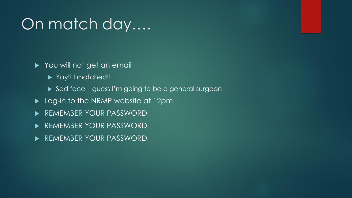## On match day….

- You will not get an email
	- ▶ Yay!! I matched!!
	- Sad face guess I'm going to be a general surgeon
- ▶ Log-in to the NRMP website at 12pm
- **REMEMBER YOUR PASSWORD**
- **REMEMBER YOUR PASSWORD**
- **REMEMBER YOUR PASSWORD**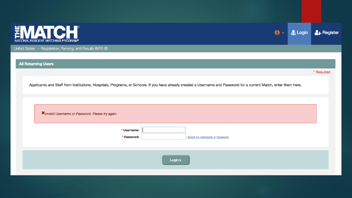

United States - Registration, Ranking, and Results ®(R3 ®)

**All Returning Users** 

\* Required

**2+** Register

 $\mathbf{0}$  -

**Company** Login

Applicants and Staff from Institutions, Hospitals, Programs, or Schools. If you have already created a Username and Password for a current Match, enter them here.

| X Invalid Username or Password. Please try again. |                                                                |  |
|---------------------------------------------------|----------------------------------------------------------------|--|
|                                                   | * Username:<br>* Password:<br>I forgot my Username or Password |  |
|                                                   | Login >                                                        |  |